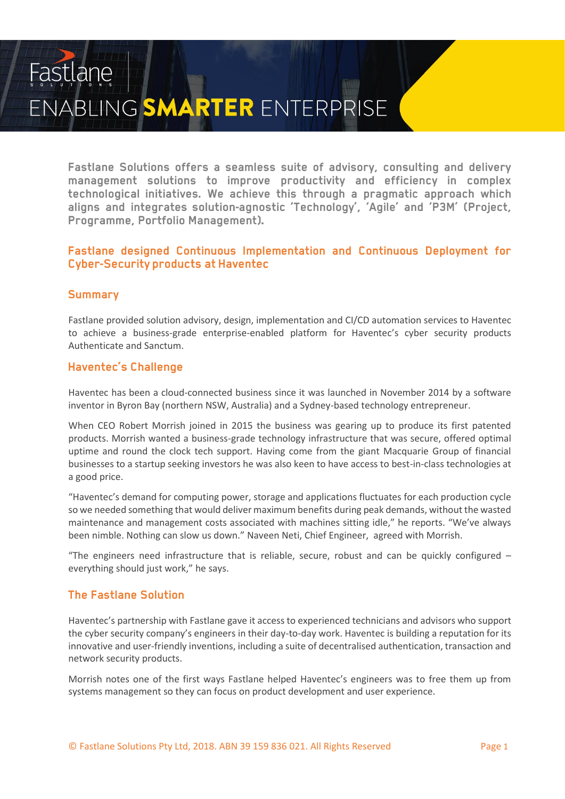# Fastlane ENABLING SMARTER ENTERPRISE

Fastlane Solutions offers a seamless suite of advisory, consulting and delivery management solutions to improve productivity and efficiency in complex technological initiatives. We achieve this through a pragmatic approach which aligns and integrates solution-agnostic 'Technology', 'Agile' and 'P3M' (Project, Programme, Portfolio Management).

### Fastlane designed Continuous Implementation and Continuous Deployment for **Cyber-Security products at Haventec**

# **Summary**

Fastlane provided solution advisory, design, implementation and CI/CD automation services to Haventec to achieve a business-grade enterprise-enabled platform for Haventec's cyber security products Authenticate and Sanctum.

# **Haventec's Challenge**

Haventec has been a cloud-connected business since it was launched in November 2014 by a software inventor in Byron Bay (northern NSW, Australia) and a Sydney-based technology entrepreneur.

When CEO Robert Morrish joined in 2015 the business was gearing up to produce its first patented products. Morrish wanted a business-grade technology infrastructure that was secure, offered optimal uptime and round the clock tech support. Having come from the giant Macquarie Group of financial businesses to a startup seeking investors he was also keen to have access to best-in-class technologies at a good price.

"Haventec's demand for computing power, storage and applications fluctuates for each production cycle so we needed something that would deliver maximum benefits during peak demands, without the wasted maintenance and management costs associated with machines sitting idle," he reports. "We've always been nimble. Nothing can slow us down." Naveen Neti, Chief Engineer, agreed with Morrish.

"The engineers need infrastructure that is reliable, secure, robust and can be quickly configured – everything should just work," he says.

#### **The Fastlane Solution**

Haventec's partnership with Fastlane gave it access to experienced technicians and advisors who support the cyber security company's engineers in their day-to-day work. Haventec is building a reputation for its innovative and user-friendly inventions, including a suite of decentralised authentication, transaction and network security products.

Morrish notes one of the first ways Fastlane helped Haventec's engineers was to free them up from systems management so they can focus on product development and user experience.